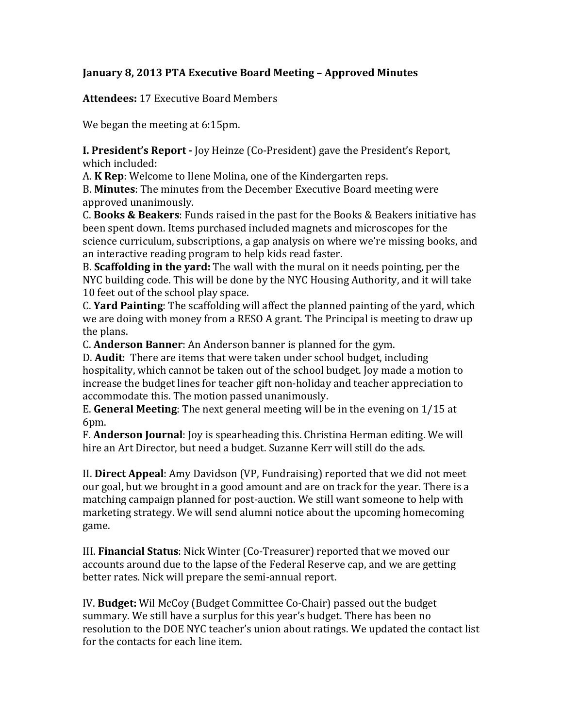## **January 8, 2013 PTA Executive Board Meeting - Approved Minutes**

**Attendees:** 17 Executive Board Members

We began the meeting at 6:15pm.

**I. President's Report -** Joy Heinze (Co-President) gave the President's Report, which included:

A. **K** Rep: Welcome to Ilene Molina, one of the Kindergarten reps.

B. **Minutes**: The minutes from the December Executive Board meeting were approved unanimously.

C. **Books & Beakers**: Funds raised in the past for the Books & Beakers initiative has been spent down. Items purchased included magnets and microscopes for the science curriculum, subscriptions, a gap analysis on where we're missing books, and an interactive reading program to help kids read faster.

B. **Scaffolding in the vard:** The wall with the mural on it needs pointing, per the NYC building code. This will be done by the NYC Housing Authority, and it will take 10 feet out of the school play space.

C. Yard Painting: The scaffolding will affect the planned painting of the yard, which we are doing with money from a RESO A grant. The Principal is meeting to draw up the plans.

C. **Anderson Banner**: An Anderson banner is planned for the gym.

D. **Audit**: There are items that were taken under school budget, including hospitality, which cannot be taken out of the school budget. Joy made a motion to increase the budget lines for teacher gift non-holiday and teacher appreciation to accommodate this. The motion passed unanimously.

E. General Meeting: The next general meeting will be in the evening on 1/15 at 6pm.

F. **Anderson Journal**: Joy is spearheading this. Christina Herman editing. We will hire an Art Director, but need a budget. Suzanne Kerr will still do the ads.

II. **Direct Appeal**: Amy Davidson (VP, Fundraising) reported that we did not meet our goal, but we brought in a good amount and are on track for the year. There is a matching campaign planned for post-auction. We still want someone to help with marketing strategy. We will send alumni notice about the upcoming homecoming game.

III. Financial Status: Nick Winter (Co-Treasurer) reported that we moved our accounts around due to the lapse of the Federal Reserve cap, and we are getting better rates. Nick will prepare the semi-annual report.

IV. Budget: Wil McCoy (Budget Committee Co-Chair) passed out the budget summary. We still have a surplus for this year's budget. There has been no resolution to the DOE NYC teacher's union about ratings. We updated the contact list for the contacts for each line item.